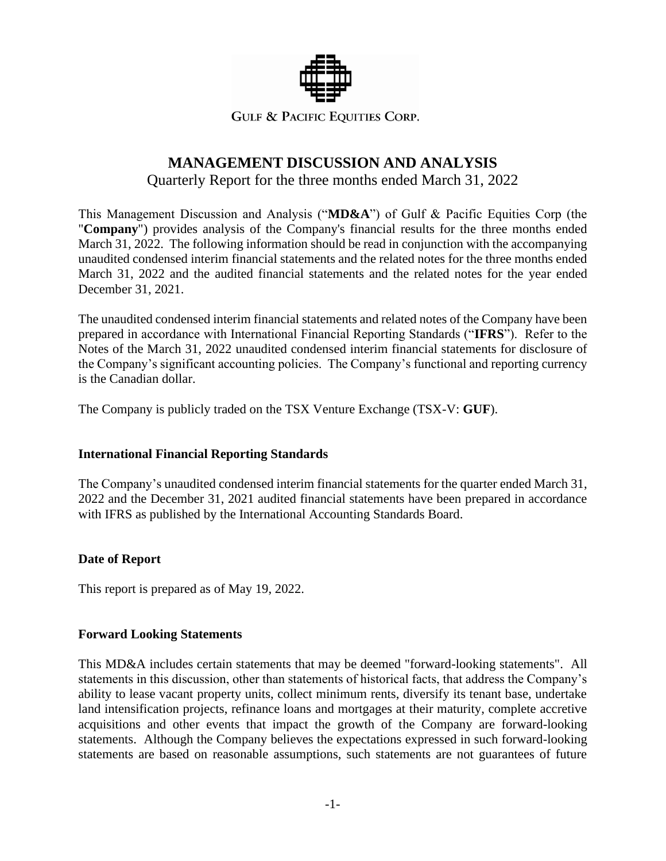

## **GULF & PACIFIC EQUITIES CORP.**

# **MANAGEMENT DISCUSSION AND ANALYSIS**

Quarterly Report for the three months ended March 31, 2022

This Management Discussion and Analysis ("**MD&A**") of Gulf & Pacific Equities Corp (the "**Company**") provides analysis of the Company's financial results for the three months ended March 31, 2022. The following information should be read in conjunction with the accompanying unaudited condensed interim financial statements and the related notes for the three months ended March 31, 2022 and the audited financial statements and the related notes for the year ended December 31, 2021.

The unaudited condensed interim financial statements and related notes of the Company have been prepared in accordance with International Financial Reporting Standards ("**IFRS**"). Refer to the Notes of the March 31, 2022 unaudited condensed interim financial statements for disclosure of the Company's significant accounting policies. The Company's functional and reporting currency is the Canadian dollar.

The Company is publicly traded on the TSX Venture Exchange (TSX-V: **GUF**).

# **International Financial Reporting Standards**

The Company's unaudited condensed interim financial statements for the quarter ended March 31, 2022 and the December 31, 2021 audited financial statements have been prepared in accordance with IFRS as published by the International Accounting Standards Board.

# **Date of Report**

This report is prepared as of May 19, 2022.

#### **Forward Looking Statements**

This MD&A includes certain statements that may be deemed "forward-looking statements". All statements in this discussion, other than statements of historical facts, that address the Company's ability to lease vacant property units, collect minimum rents, diversify its tenant base, undertake land intensification projects, refinance loans and mortgages at their maturity, complete accretive acquisitions and other events that impact the growth of the Company are forward-looking statements. Although the Company believes the expectations expressed in such forward-looking statements are based on reasonable assumptions, such statements are not guarantees of future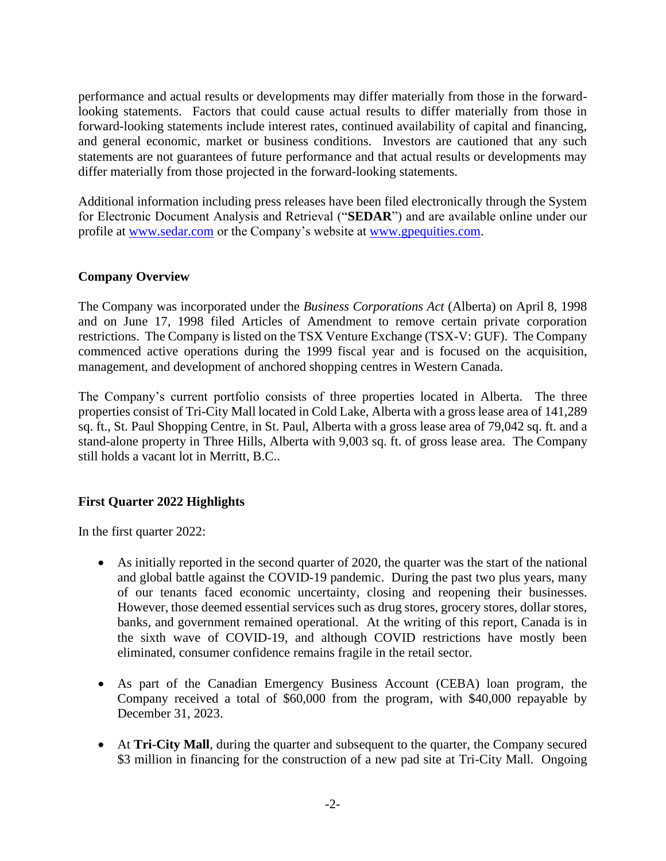performance and actual results or developments may differ materially from those in the forwardlooking statements. Factors that could cause actual results to differ materially from those in forward-looking statements include interest rates, continued availability of capital and financing, and general economic, market or business conditions. Investors are cautioned that any such statements are not guarantees of future performance and that actual results or developments may differ materially from those projected in the forward-looking statements.

Additional information including press releases have been filed electronically through the System for Electronic Document Analysis and Retrieval ("**SEDAR**") and are available online under our profile at [www.sedar.com](http://www.sedar.com/) or the Company's website at [www.gpequities.com.](http://www.platogold.com/)

## **Company Overview**

The Company was incorporated under the *Business Corporations Act* (Alberta) on April 8, 1998 and on June 17, 1998 filed Articles of Amendment to remove certain private corporation restrictions. The Company is listed on the TSX Venture Exchange (TSX-V: GUF). The Company commenced active operations during the 1999 fiscal year and is focused on the acquisition, management, and development of anchored shopping centres in Western Canada.

The Company's current portfolio consists of three properties located in Alberta. The three properties consist of Tri-City Mall located in Cold Lake, Alberta with a gross lease area of 141,289 sq. ft., St. Paul Shopping Centre, in St. Paul, Alberta with a gross lease area of 79,042 sq. ft. and a stand-alone property in Three Hills, Alberta with 9,003 sq. ft. of gross lease area. The Company still holds a vacant lot in Merritt, B.C..

# **First Quarter 2022 Highlights**

In the first quarter 2022:

- As initially reported in the second quarter of 2020, the quarter was the start of the national and global battle against the COVID-19 pandemic. During the past two plus years, many of our tenants faced economic uncertainty, closing and reopening their businesses. However, those deemed essential services such as drug stores, grocery stores, dollar stores, banks, and government remained operational. At the writing of this report, Canada is in the sixth wave of COVID-19, and although COVID restrictions have mostly been eliminated, consumer confidence remains fragile in the retail sector.
- As part of the Canadian Emergency Business Account (CEBA) loan program, the Company received a total of \$60,000 from the program, with \$40,000 repayable by December 31, 2023.
- At **Tri-City Mall**, during the quarter and subsequent to the quarter, the Company secured \$3 million in financing for the construction of a new pad site at Tri-City Mall. Ongoing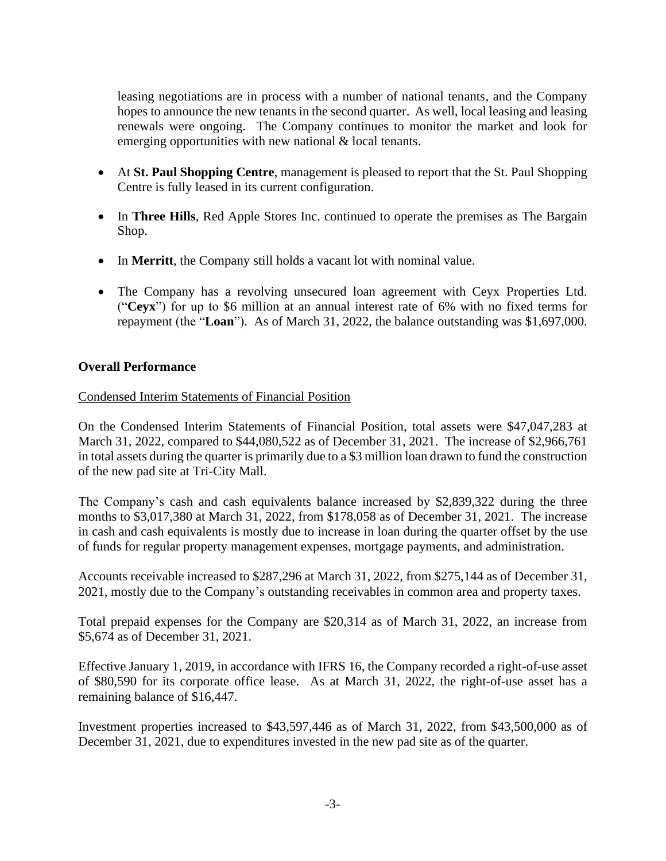leasing negotiations are in process with a number of national tenants, and the Company hopes to announce the new tenants in the second quarter. As well, local leasing and leasing renewals were ongoing. The Company continues to monitor the market and look for emerging opportunities with new national & local tenants.

- At **St. Paul Shopping Centre**, management is pleased to report that the St. Paul Shopping Centre is fully leased in its current configuration.
- In **Three Hills**, Red Apple Stores Inc. continued to operate the premises as The Bargain Shop.
- In **Merritt**, the Company still holds a vacant lot with nominal value.
- The Company has a revolving unsecured loan agreement with Ceyx Properties Ltd. ("**Ceyx**") for up to \$6 million at an annual interest rate of 6% with no fixed terms for repayment (the "**Loan**"). As of March 31, 2022, the balance outstanding was \$1,697,000.

# **Overall Performance**

## Condensed Interim Statements of Financial Position

On the Condensed Interim Statements of Financial Position, total assets were \$47,047,283 at March 31, 2022, compared to \$44,080,522 as of December 31, 2021. The increase of \$2,966,761 in total assets during the quarter is primarily due to a \$3 million loan drawn to fund the construction of the new pad site at Tri-City Mall.

The Company's cash and cash equivalents balance increased by \$2,839,322 during the three months to \$3,017,380 at March 31, 2022, from \$178,058 as of December 31, 2021. The increase in cash and cash equivalents is mostly due to increase in loan during the quarter offset by the use of funds for regular property management expenses, mortgage payments, and administration.

Accounts receivable increased to \$287,296 at March 31, 2022, from \$275,144 as of December 31, 2021, mostly due to the Company's outstanding receivables in common area and property taxes.

Total prepaid expenses for the Company are \$20,314 as of March 31, 2022, an increase from \$5,674 as of December 31, 2021.

Effective January 1, 2019, in accordance with IFRS 16, the Company recorded a right-of-use asset of \$80,590 for its corporate office lease. As at March 31, 2022, the right-of-use asset has a remaining balance of \$16,447.

Investment properties increased to \$43,597,446 as of March 31, 2022, from \$43,500,000 as of December 31, 2021, due to expenditures invested in the new pad site as of the quarter.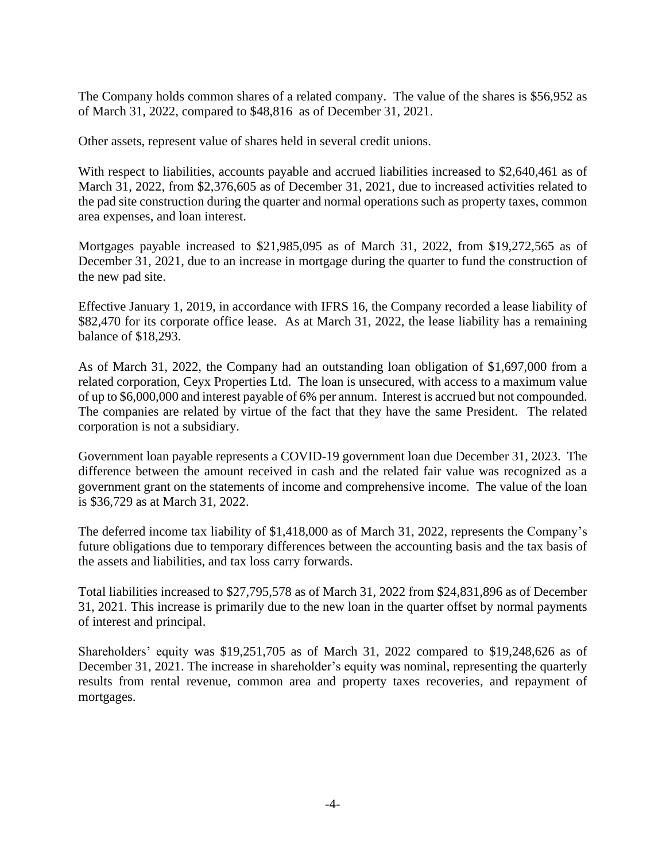The Company holds common shares of a related company. The value of the shares is \$56,952 as of March 31, 2022, compared to \$48,816 as of December 31, 2021.

Other assets, represent value of shares held in several credit unions.

With respect to liabilities, accounts payable and accrued liabilities increased to \$2,640,461 as of March 31, 2022, from \$2,376,605 as of December 31, 2021, due to increased activities related to the pad site construction during the quarter and normal operations such as property taxes, common area expenses, and loan interest.

Mortgages payable increased to \$21,985,095 as of March 31, 2022, from \$19,272,565 as of December 31, 2021, due to an increase in mortgage during the quarter to fund the construction of the new pad site.

Effective January 1, 2019, in accordance with IFRS 16, the Company recorded a lease liability of \$82,470 for its corporate office lease. As at March 31, 2022, the lease liability has a remaining balance of \$18,293.

As of March 31, 2022, the Company had an outstanding loan obligation of \$1,697,000 from a related corporation, Ceyx Properties Ltd. The loan is unsecured, with access to a maximum value of up to \$6,000,000 and interest payable of 6% per annum. Interest is accrued but not compounded. The companies are related by virtue of the fact that they have the same President. The related corporation is not a subsidiary.

Government loan payable represents a COVID-19 government loan due December 31, 2023. The difference between the amount received in cash and the related fair value was recognized as a government grant on the statements of income and comprehensive income. The value of the loan is \$36,729 as at March 31, 2022.

The deferred income tax liability of \$1,418,000 as of March 31, 2022, represents the Company's future obligations due to temporary differences between the accounting basis and the tax basis of the assets and liabilities, and tax loss carry forwards.

Total liabilities increased to \$27,795,578 as of March 31, 2022 from \$24,831,896 as of December 31, 2021. This increase is primarily due to the new loan in the quarter offset by normal payments of interest and principal.

Shareholders' equity was \$19,251,705 as of March 31, 2022 compared to \$19,248,626 as of December 31, 2021. The increase in shareholder's equity was nominal, representing the quarterly results from rental revenue, common area and property taxes recoveries, and repayment of mortgages.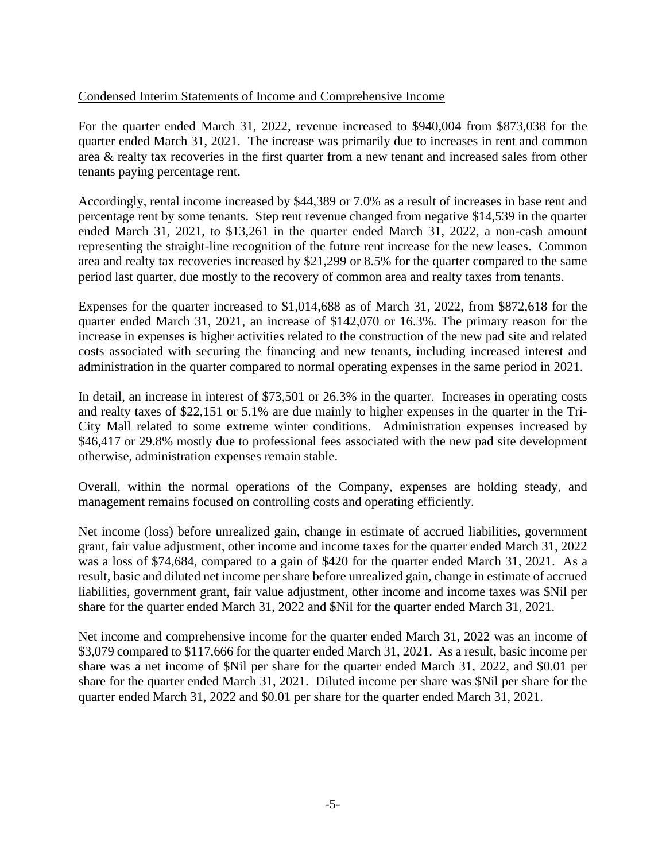# Condensed Interim Statements of Income and Comprehensive Income

For the quarter ended March 31, 2022, revenue increased to \$940,004 from \$873,038 for the quarter ended March 31, 2021. The increase was primarily due to increases in rent and common area & realty tax recoveries in the first quarter from a new tenant and increased sales from other tenants paying percentage rent.

Accordingly, rental income increased by \$44,389 or 7.0% as a result of increases in base rent and percentage rent by some tenants. Step rent revenue changed from negative \$14,539 in the quarter ended March 31, 2021, to \$13,261 in the quarter ended March 31, 2022, a non-cash amount representing the straight-line recognition of the future rent increase for the new leases. Common area and realty tax recoveries increased by \$21,299 or 8.5% for the quarter compared to the same period last quarter, due mostly to the recovery of common area and realty taxes from tenants.

Expenses for the quarter increased to \$1,014,688 as of March 31, 2022, from \$872,618 for the quarter ended March 31, 2021, an increase of \$142,070 or 16.3%. The primary reason for the increase in expenses is higher activities related to the construction of the new pad site and related costs associated with securing the financing and new tenants, including increased interest and administration in the quarter compared to normal operating expenses in the same period in 2021.

In detail, an increase in interest of \$73,501 or 26.3% in the quarter. Increases in operating costs and realty taxes of \$22,151 or 5.1% are due mainly to higher expenses in the quarter in the Tri-City Mall related to some extreme winter conditions. Administration expenses increased by \$46,417 or 29.8% mostly due to professional fees associated with the new pad site development otherwise, administration expenses remain stable.

Overall, within the normal operations of the Company, expenses are holding steady, and management remains focused on controlling costs and operating efficiently.

Net income (loss) before unrealized gain, change in estimate of accrued liabilities, government grant, fair value adjustment, other income and income taxes for the quarter ended March 31, 2022 was a loss of \$74,684, compared to a gain of \$420 for the quarter ended March 31, 2021. As a result, basic and diluted net income per share before unrealized gain, change in estimate of accrued liabilities, government grant, fair value adjustment, other income and income taxes was \$Nil per share for the quarter ended March 31, 2022 and \$Nil for the quarter ended March 31, 2021.

Net income and comprehensive income for the quarter ended March 31, 2022 was an income of \$3,079 compared to \$117,666 for the quarter ended March 31, 2021. As a result, basic income per share was a net income of \$Nil per share for the quarter ended March 31, 2022, and \$0.01 per share for the quarter ended March 31, 2021. Diluted income per share was \$Nil per share for the quarter ended March 31, 2022 and \$0.01 per share for the quarter ended March 31, 2021.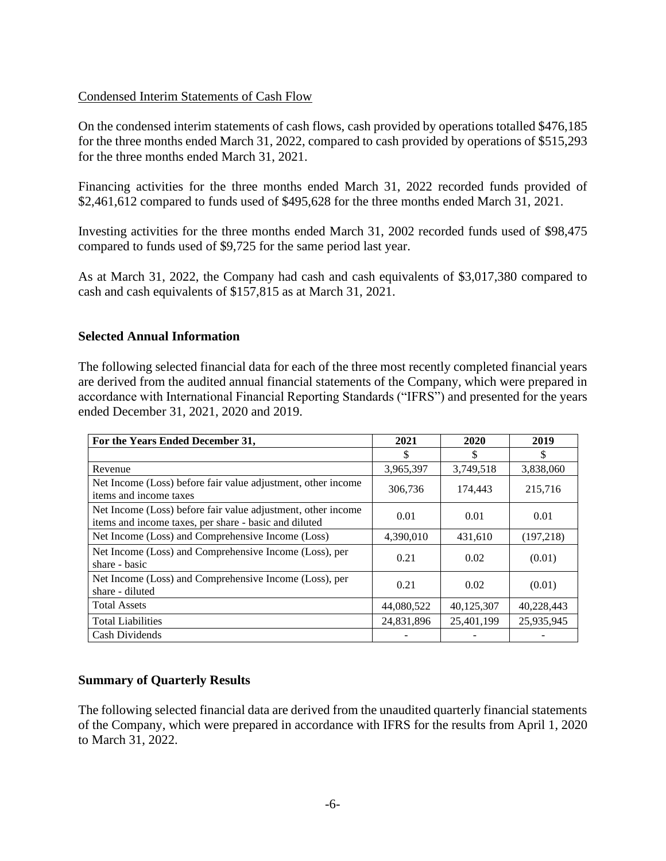## Condensed Interim Statements of Cash Flow

On the condensed interim statements of cash flows, cash provided by operations totalled \$476,185 for the three months ended March 31, 2022, compared to cash provided by operations of \$515,293 for the three months ended March 31, 2021.

Financing activities for the three months ended March 31, 2022 recorded funds provided of \$2,461,612 compared to funds used of \$495,628 for the three months ended March 31, 2021.

Investing activities for the three months ended March 31, 2002 recorded funds used of \$98,475 compared to funds used of \$9,725 for the same period last year.

As at March 31, 2022, the Company had cash and cash equivalents of \$3,017,380 compared to cash and cash equivalents of \$157,815 as at March 31, 2021.

## **Selected Annual Information**

The following selected financial data for each of the three most recently completed financial years are derived from the audited annual financial statements of the Company, which were prepared in accordance with International Financial Reporting Standards ("IFRS") and presented for the years ended December 31, 2021, 2020 and 2019.

| For the Years Ended December 31,                                                                                      | 2021               | 2020       | 2019       |  |
|-----------------------------------------------------------------------------------------------------------------------|--------------------|------------|------------|--|
|                                                                                                                       | \$                 |            |            |  |
| Revenue                                                                                                               | 3,965,397          | 3,749,518  | 3,838,060  |  |
| Net Income (Loss) before fair value adjustment, other income<br>items and income taxes                                | 306,736<br>174,443 |            | 215,716    |  |
| Net Income (Loss) before fair value adjustment, other income<br>items and income taxes, per share - basic and diluted | 0.01               | 0.01       | 0.01       |  |
| Net Income (Loss) and Comprehensive Income (Loss)                                                                     | 4,390,010          | 431,610    | (197,218)  |  |
| Net Income (Loss) and Comprehensive Income (Loss), per<br>share - basic                                               | 0.21<br>0.02       |            | (0.01)     |  |
| Net Income (Loss) and Comprehensive Income (Loss), per<br>share - diluted                                             | 0.21               | 0.02       | (0.01)     |  |
| <b>Total Assets</b>                                                                                                   | 44,080,522         | 40,125,307 | 40,228,443 |  |
| <b>Total Liabilities</b>                                                                                              | 24,831,896         | 25,401,199 | 25,935,945 |  |
| Cash Dividends                                                                                                        |                    |            |            |  |

# **Summary of Quarterly Results**

The following selected financial data are derived from the unaudited quarterly financial statements of the Company, which were prepared in accordance with IFRS for the results from April 1, 2020 to March 31, 2022.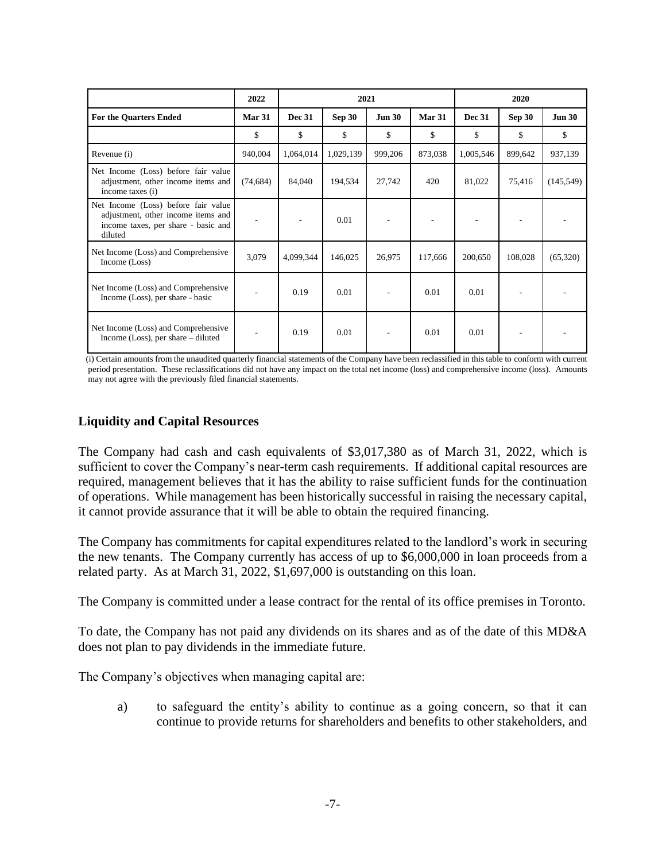|                                                                                                                             | 2022      | 2021          |               |               | 2020          |               |               |               |
|-----------------------------------------------------------------------------------------------------------------------------|-----------|---------------|---------------|---------------|---------------|---------------|---------------|---------------|
| <b>For the Quarters Ended</b>                                                                                               | Mar 31    | <b>Dec 31</b> | <b>Sep 30</b> | <b>Jun 30</b> | <b>Mar 31</b> | <b>Dec 31</b> | <b>Sep 30</b> | <b>Jun 30</b> |
|                                                                                                                             | \$        | \$            | \$            | \$            | \$            | \$            | \$            | \$            |
| Revenue (i)                                                                                                                 | 940,004   | 1,064,014     | 1,029,139     | 999,206       | 873,038       | 1,005,546     | 899,642       | 937,139       |
| Net Income (Loss) before fair value<br>adjustment, other income items and<br>income taxes (i)                               | (74, 684) | 84,040        | 194,534       | 27,742        | 420           | 81,022        | 75,416        | (145, 549)    |
| Net Income (Loss) before fair value<br>adjustment, other income items and<br>income taxes, per share - basic and<br>diluted |           |               | 0.01          |               |               |               |               |               |
| Net Income (Loss) and Comprehensive<br>Income (Loss)                                                                        | 3,079     | 4,099,344     | 146,025       | 26,975        | 117,666       | 200,650       | 108,028       | (65,320)      |
| Net Income (Loss) and Comprehensive<br>Income (Loss), per share - basic                                                     |           | 0.19          | 0.01          |               | 0.01          | 0.01          |               |               |
| Net Income (Loss) and Comprehensive<br>Income (Loss), per share $-$ diluted                                                 |           | 0.19          | 0.01          |               | 0.01          | 0.01          |               |               |

(i) Certain amounts from the unaudited quarterly financial statements of the Company have been reclassified in this table to conform with current period presentation. These reclassifications did not have any impact on the total net income (loss) and comprehensive income (loss). Amounts may not agree with the previously filed financial statements.

# **Liquidity and Capital Resources**

The Company had cash and cash equivalents of \$3,017,380 as of March 31, 2022, which is sufficient to cover the Company's near-term cash requirements. If additional capital resources are required, management believes that it has the ability to raise sufficient funds for the continuation of operations. While management has been historically successful in raising the necessary capital, it cannot provide assurance that it will be able to obtain the required financing.

The Company has commitments for capital expenditures related to the landlord's work in securing the new tenants. The Company currently has access of up to \$6,000,000 in loan proceeds from a related party. As at March 31, 2022, \$1,697,000 is outstanding on this loan.

The Company is committed under a lease contract for the rental of its office premises in Toronto.

To date, the Company has not paid any dividends on its shares and as of the date of this MD&A does not plan to pay dividends in the immediate future.

The Company's objectives when managing capital are:

a) to safeguard the entity's ability to continue as a going concern, so that it can continue to provide returns for shareholders and benefits to other stakeholders, and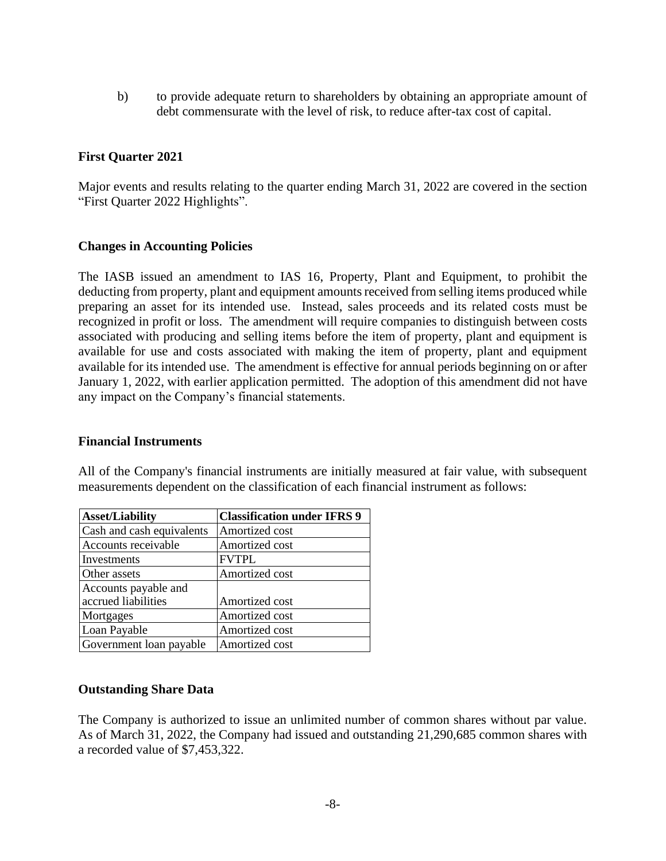b) to provide adequate return to shareholders by obtaining an appropriate amount of debt commensurate with the level of risk, to reduce after-tax cost of capital.

## **First Quarter 2021**

Major events and results relating to the quarter ending March 31, 2022 are covered in the section "First Quarter 2022 Highlights".

#### **Changes in Accounting Policies**

The IASB issued an amendment to IAS 16, Property, Plant and Equipment, to prohibit the deducting from property, plant and equipment amounts received from selling items produced while preparing an asset for its intended use. Instead, sales proceeds and its related costs must be recognized in profit or loss. The amendment will require companies to distinguish between costs associated with producing and selling items before the item of property, plant and equipment is available for use and costs associated with making the item of property, plant and equipment available for its intended use. The amendment is effective for annual periods beginning on or after January 1, 2022, with earlier application permitted. The adoption of this amendment did not have any impact on the Company's financial statements.

#### **Financial Instruments**

All of the Company's financial instruments are initially measured at fair value, with subsequent measurements dependent on the classification of each financial instrument as follows:

| <b>Asset/Liability</b>    | <b>Classification under IFRS 9</b> |
|---------------------------|------------------------------------|
| Cash and cash equivalents | Amortized cost                     |
| Accounts receivable       | Amortized cost                     |
| Investments               | <b>FVTPL</b>                       |
| Other assets              | Amortized cost                     |
| Accounts payable and      |                                    |
| accrued liabilities       | Amortized cost                     |
| Mortgages                 | Amortized cost                     |
| Loan Payable              | Amortized cost                     |
| Government loan payable   | Amortized cost                     |

#### **Outstanding Share Data**

The Company is authorized to issue an unlimited number of common shares without par value. As of March 31, 2022, the Company had issued and outstanding 21,290,685 common shares with a recorded value of \$7,453,322.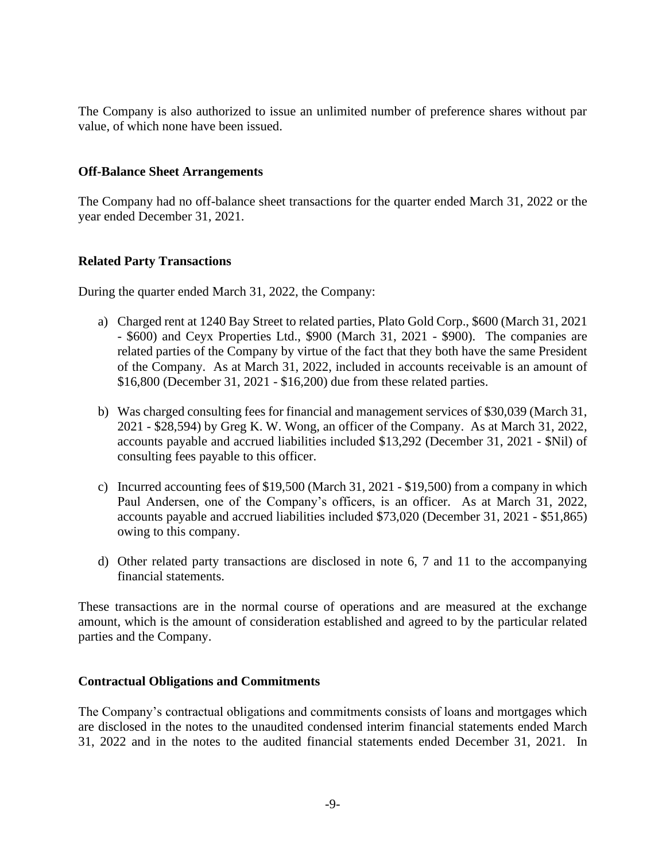The Company is also authorized to issue an unlimited number of preference shares without par value, of which none have been issued.

#### **Off-Balance Sheet Arrangements**

The Company had no off-balance sheet transactions for the quarter ended March 31, 2022 or the year ended December 31, 2021.

#### **Related Party Transactions**

During the quarter ended March 31, 2022, the Company:

- a) Charged rent at 1240 Bay Street to related parties, Plato Gold Corp., \$600 (March 31, 2021 - \$600) and Ceyx Properties Ltd., \$900 (March 31, 2021 - \$900). The companies are related parties of the Company by virtue of the fact that they both have the same President of the Company. As at March 31, 2022, included in accounts receivable is an amount of \$16,800 (December 31, 2021 - \$16,200) due from these related parties.
- b) Was charged consulting fees for financial and management services of \$30,039 (March 31, 2021 - \$28,594) by Greg K. W. Wong, an officer of the Company. As at March 31, 2022, accounts payable and accrued liabilities included \$13,292 (December 31, 2021 - \$Nil) of consulting fees payable to this officer.
- c) Incurred accounting fees of  $$19,500$  (March 31, 2021  $$19,500$ ) from a company in which Paul Andersen, one of the Company's officers, is an officer. As at March 31, 2022, accounts payable and accrued liabilities included \$73,020 (December 31, 2021 - \$51,865) owing to this company.
- d) Other related party transactions are disclosed in note 6, 7 and 11 to the accompanying financial statements.

These transactions are in the normal course of operations and are measured at the exchange amount, which is the amount of consideration established and agreed to by the particular related parties and the Company.

#### **Contractual Obligations and Commitments**

The Company's contractual obligations and commitments consists of loans and mortgages which are disclosed in the notes to the unaudited condensed interim financial statements ended March 31, 2022 and in the notes to the audited financial statements ended December 31, 2021. In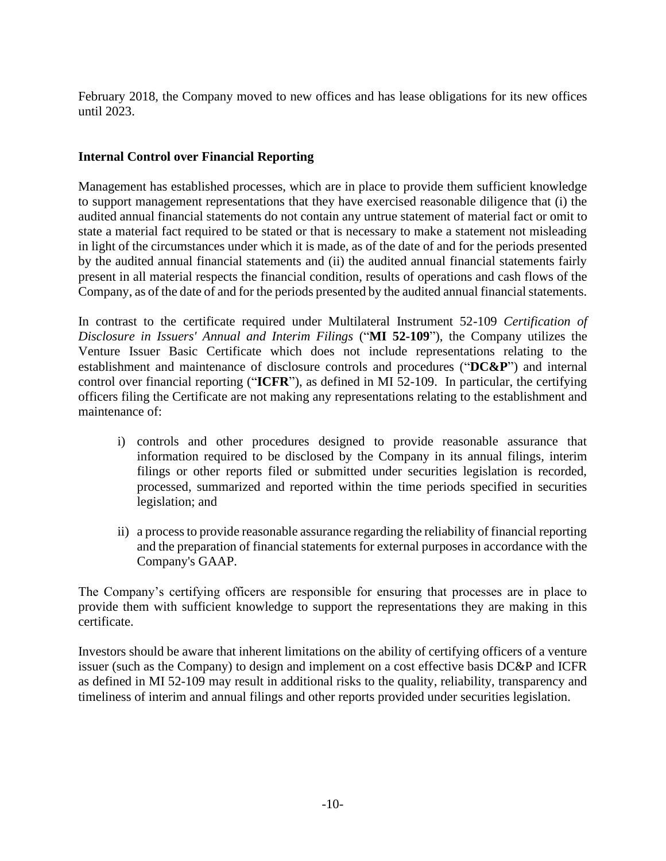February 2018, the Company moved to new offices and has lease obligations for its new offices until 2023.

## **Internal Control over Financial Reporting**

Management has established processes, which are in place to provide them sufficient knowledge to support management representations that they have exercised reasonable diligence that (i) the audited annual financial statements do not contain any untrue statement of material fact or omit to state a material fact required to be stated or that is necessary to make a statement not misleading in light of the circumstances under which it is made, as of the date of and for the periods presented by the audited annual financial statements and (ii) the audited annual financial statements fairly present in all material respects the financial condition, results of operations and cash flows of the Company, as of the date of and for the periods presented by the audited annual financial statements.

In contrast to the certificate required under Multilateral Instrument 52-109 *Certification of Disclosure in Issuers' Annual and Interim Filings* ("**MI 52-109**"), the Company utilizes the Venture Issuer Basic Certificate which does not include representations relating to the establishment and maintenance of disclosure controls and procedures ("**DC&P**") and internal control over financial reporting ("**ICFR**"), as defined in MI 52-109. In particular, the certifying officers filing the Certificate are not making any representations relating to the establishment and maintenance of:

- i) controls and other procedures designed to provide reasonable assurance that information required to be disclosed by the Company in its annual filings, interim filings or other reports filed or submitted under securities legislation is recorded, processed, summarized and reported within the time periods specified in securities legislation; and
- ii) a process to provide reasonable assurance regarding the reliability of financial reporting and the preparation of financial statements for external purposes in accordance with the Company's GAAP.

The Company's certifying officers are responsible for ensuring that processes are in place to provide them with sufficient knowledge to support the representations they are making in this certificate.

Investors should be aware that inherent limitations on the ability of certifying officers of a venture issuer (such as the Company) to design and implement on a cost effective basis DC&P and ICFR as defined in MI 52-109 may result in additional risks to the quality, reliability, transparency and timeliness of interim and annual filings and other reports provided under securities legislation.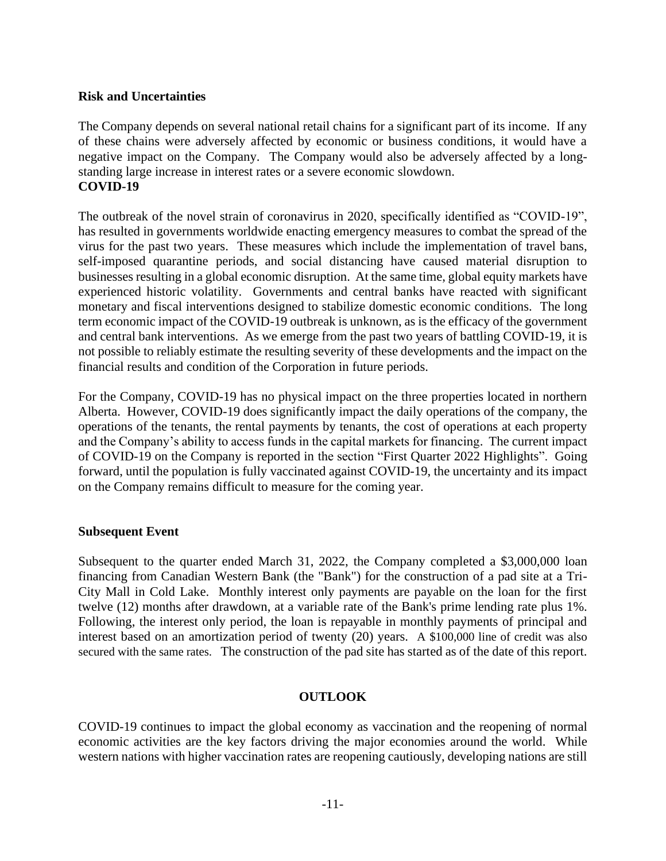## **Risk and Uncertainties**

The Company depends on several national retail chains for a significant part of its income. If any of these chains were adversely affected by economic or business conditions, it would have a negative impact on the Company. The Company would also be adversely affected by a longstanding large increase in interest rates or a severe economic slowdown. **COVID-19**

The outbreak of the novel strain of coronavirus in 2020, specifically identified as "COVID-19", has resulted in governments worldwide enacting emergency measures to combat the spread of the virus for the past two years. These measures which include the implementation of travel bans, self-imposed quarantine periods, and social distancing have caused material disruption to businesses resulting in a global economic disruption. At the same time, global equity markets have experienced historic volatility. Governments and central banks have reacted with significant monetary and fiscal interventions designed to stabilize domestic economic conditions. The long term economic impact of the COVID-19 outbreak is unknown, as is the efficacy of the government and central bank interventions. As we emerge from the past two years of battling COVID-19, it is not possible to reliably estimate the resulting severity of these developments and the impact on the financial results and condition of the Corporation in future periods.

For the Company, COVID-19 has no physical impact on the three properties located in northern Alberta. However, COVID-19 does significantly impact the daily operations of the company, the operations of the tenants, the rental payments by tenants, the cost of operations at each property and the Company's ability to access funds in the capital markets for financing. The current impact of COVID-19 on the Company is reported in the section "First Quarter 2022 Highlights". Going forward, until the population is fully vaccinated against COVID-19, the uncertainty and its impact on the Company remains difficult to measure for the coming year.

#### **Subsequent Event**

Subsequent to the quarter ended March 31, 2022, the Company completed a \$3,000,000 loan financing from Canadian Western Bank (the "Bank") for the construction of a pad site at a Tri-City Mall in Cold Lake. Monthly interest only payments are payable on the loan for the first twelve (12) months after drawdown, at a variable rate of the Bank's prime lending rate plus 1%. Following, the interest only period, the loan is repayable in monthly payments of principal and interest based on an amortization period of twenty (20) years. A \$100,000 line of credit was also secured with the same rates. The construction of the pad site has started as of the date of this report.

# **OUTLOOK**

COVID-19 continues to impact the global economy as vaccination and the reopening of normal economic activities are the key factors driving the major economies around the world. While western nations with higher vaccination rates are reopening cautiously, developing nations are still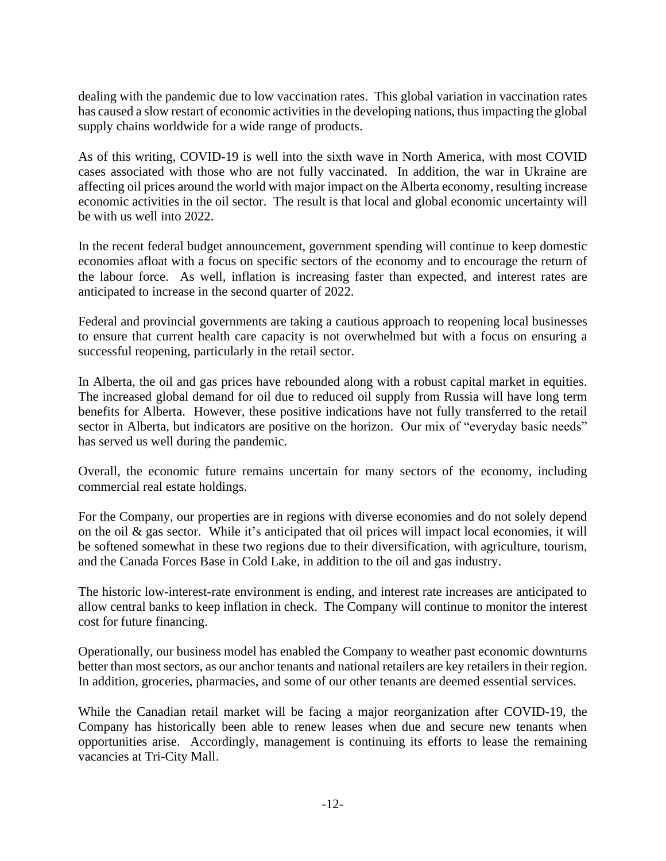dealing with the pandemic due to low vaccination rates. This global variation in vaccination rates has caused a slow restart of economic activities in the developing nations, thus impacting the global supply chains worldwide for a wide range of products.

As of this writing, COVID-19 is well into the sixth wave in North America, with most COVID cases associated with those who are not fully vaccinated. In addition, the war in Ukraine are affecting oil prices around the world with major impact on the Alberta economy, resulting increase economic activities in the oil sector. The result is that local and global economic uncertainty will be with us well into 2022.

In the recent federal budget announcement, government spending will continue to keep domestic economies afloat with a focus on specific sectors of the economy and to encourage the return of the labour force. As well, inflation is increasing faster than expected, and interest rates are anticipated to increase in the second quarter of 2022.

Federal and provincial governments are taking a cautious approach to reopening local businesses to ensure that current health care capacity is not overwhelmed but with a focus on ensuring a successful reopening, particularly in the retail sector.

In Alberta, the oil and gas prices have rebounded along with a robust capital market in equities. The increased global demand for oil due to reduced oil supply from Russia will have long term benefits for Alberta. However, these positive indications have not fully transferred to the retail sector in Alberta, but indicators are positive on the horizon. Our mix of "everyday basic needs" has served us well during the pandemic.

Overall, the economic future remains uncertain for many sectors of the economy, including commercial real estate holdings.

For the Company, our properties are in regions with diverse economies and do not solely depend on the oil & gas sector. While it's anticipated that oil prices will impact local economies, it will be softened somewhat in these two regions due to their diversification, with agriculture, tourism, and the Canada Forces Base in Cold Lake, in addition to the oil and gas industry.

The historic low-interest-rate environment is ending, and interest rate increases are anticipated to allow central banks to keep inflation in check. The Company will continue to monitor the interest cost for future financing.

Operationally, our business model has enabled the Company to weather past economic downturns better than most sectors, as our anchor tenants and national retailers are key retailers in their region. In addition, groceries, pharmacies, and some of our other tenants are deemed essential services.

While the Canadian retail market will be facing a major reorganization after COVID-19, the Company has historically been able to renew leases when due and secure new tenants when opportunities arise. Accordingly, management is continuing its efforts to lease the remaining vacancies at Tri-City Mall.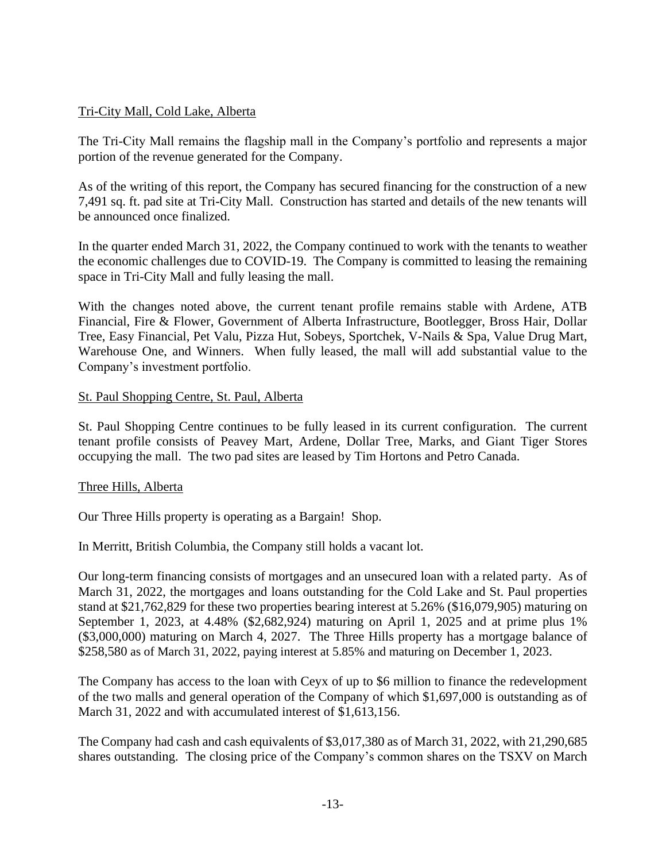# Tri-City Mall, Cold Lake, Alberta

The Tri-City Mall remains the flagship mall in the Company's portfolio and represents a major portion of the revenue generated for the Company.

As of the writing of this report, the Company has secured financing for the construction of a new 7,491 sq. ft. pad site at Tri-City Mall. Construction has started and details of the new tenants will be announced once finalized.

In the quarter ended March 31, 2022, the Company continued to work with the tenants to weather the economic challenges due to COVID-19. The Company is committed to leasing the remaining space in Tri-City Mall and fully leasing the mall.

With the changes noted above, the current tenant profile remains stable with Ardene, ATB Financial, Fire & Flower, Government of Alberta Infrastructure, Bootlegger, Bross Hair, Dollar Tree, Easy Financial, Pet Valu, Pizza Hut, Sobeys, Sportchek, V-Nails & Spa, Value Drug Mart, Warehouse One, and Winners. When fully leased, the mall will add substantial value to the Company's investment portfolio.

# St. Paul Shopping Centre, St. Paul, Alberta

St. Paul Shopping Centre continues to be fully leased in its current configuration. The current tenant profile consists of Peavey Mart, Ardene, Dollar Tree, Marks, and Giant Tiger Stores occupying the mall. The two pad sites are leased by Tim Hortons and Petro Canada.

# Three Hills, Alberta

Our Three Hills property is operating as a Bargain! Shop.

In Merritt, British Columbia, the Company still holds a vacant lot.

Our long-term financing consists of mortgages and an unsecured loan with a related party. As of March 31, 2022, the mortgages and loans outstanding for the Cold Lake and St. Paul properties stand at \$21,762,829 for these two properties bearing interest at 5.26% (\$16,079,905) maturing on September 1, 2023, at 4.48% (\$2,682,924) maturing on April 1, 2025 and at prime plus 1% (\$3,000,000) maturing on March 4, 2027. The Three Hills property has a mortgage balance of \$258,580 as of March 31, 2022, paying interest at 5.85% and maturing on December 1, 2023.

The Company has access to the loan with Ceyx of up to \$6 million to finance the redevelopment of the two malls and general operation of the Company of which \$1,697,000 is outstanding as of March 31, 2022 and with accumulated interest of \$1,613,156.

The Company had cash and cash equivalents of \$3,017,380 as of March 31, 2022, with 21,290,685 shares outstanding. The closing price of the Company's common shares on the TSXV on March